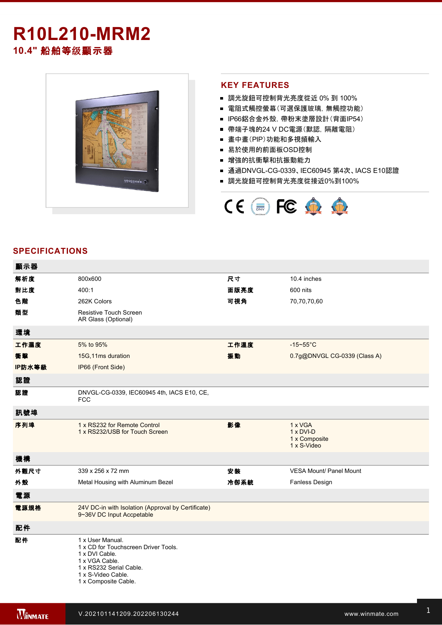# **R10L210-MRM2**

**10.4"** 船舶等级顯示器



### **KEY FEATURES**

- 調光旋鈕可控制背光亮度從近 0% 到 100%
- 雷阻式觸控螢幕(可選保護玻璃,無觸控功能)
- IP66鋁合金外殼, 帶粉末塗層設計(背面IP54)
- 帶端子塊的24 V DC電源(默認, 隔離電阻)
- 書中書(PIP)功能和多視頻輸入
- 易於使用的前面板OSD控制
- 增強的抗衝擊和抗振動能力
- 通過DNVGL-CG-0339、IEC60945 第4次、IACS E10認證
- 調光旋鈕可控制背光亮度從接近0%到100%



### **SPECIFICATIONS**

| 顯示器    |                                                                                                                                                                       |      |                                                             |
|--------|-----------------------------------------------------------------------------------------------------------------------------------------------------------------------|------|-------------------------------------------------------------|
| 解析度    | 800x600                                                                                                                                                               | 尺寸   | 10.4 inches                                                 |
| 對比度    | 400:1                                                                                                                                                                 | 面版亮度 | 600 nits                                                    |
| 色階     | 262K Colors                                                                                                                                                           | 可視角  | 70,70,70,60                                                 |
| 類型     | Resistive Touch Screen<br>AR Glass (Optional)                                                                                                                         |      |                                                             |
| 環境     |                                                                                                                                                                       |      |                                                             |
| 工作濕度   | 5% to 95%                                                                                                                                                             | 工作溫度 | $-15 - 55$ °C                                               |
| 衝擊     | 15G, 11ms duration                                                                                                                                                    | 振動   | 0.7g@DNVGL CG-0339 (Class A)                                |
| IP防水等級 | IP66 (Front Side)                                                                                                                                                     |      |                                                             |
| 認證     |                                                                                                                                                                       |      |                                                             |
| 認證     | DNVGL-CG-0339, IEC60945 4th, IACS E10, CE,<br><b>FCC</b>                                                                                                              |      |                                                             |
| 訊號埠    |                                                                                                                                                                       |      |                                                             |
| 序列埠    | 1 x RS232 for Remote Control<br>1 x RS232/USB for Touch Screen                                                                                                        | 影像   | 1 x VGA<br>$1 \times DVI-D$<br>1 x Composite<br>1 x S-Video |
| 機構     |                                                                                                                                                                       |      |                                                             |
| 外觀尺寸   | 339 x 256 x 72 mm                                                                                                                                                     | 安装   | <b>VESA Mount/ Panel Mount</b>                              |
| 外殼     | Metal Housing with Aluminum Bezel                                                                                                                                     | 冷卻系統 | Fanless Design                                              |
| 電源     |                                                                                                                                                                       |      |                                                             |
| 電源規格   | 24V DC-in with Isolation (Approval by Certificate)<br>9~36V DC Input Accpetable                                                                                       |      |                                                             |
| 配件     |                                                                                                                                                                       |      |                                                             |
| 配件     | 1 x User Manual.<br>1 x CD for Touchscreen Driver Tools.<br>1 x DVI Cable.<br>1 x VGA Cable.<br>1 x RS232 Serial Cable.<br>1 x S-Video Cable.<br>1 x Composite Cable. |      |                                                             |